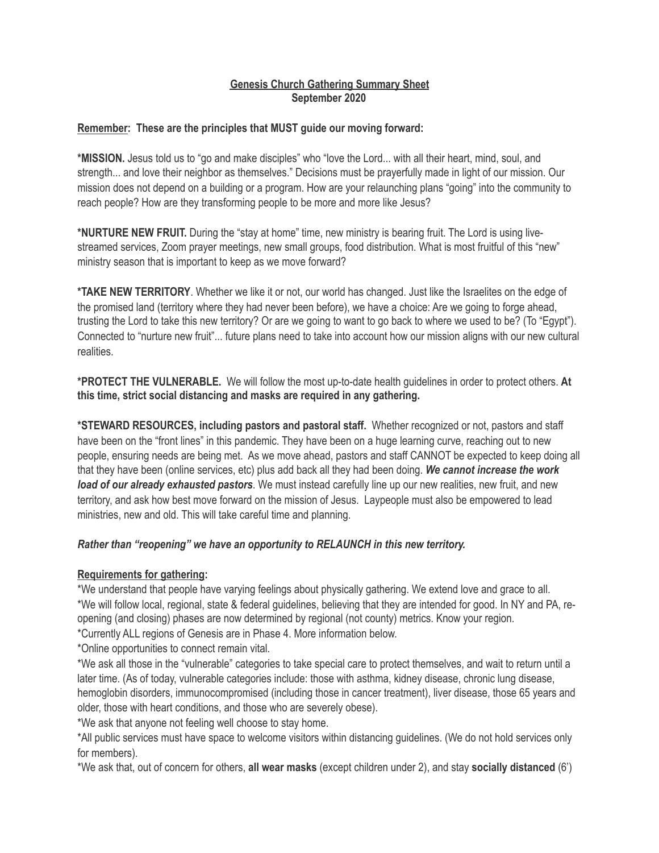### **Genesis Church Gathering Summary Sheet September 2020**

### **Remember: These are the principles that MUST guide our moving forward:**

**\*MISSION.** Jesus told us to "go and make disciples" who "love the Lord... with all their heart, mind, soul, and strength... and love their neighbor as themselves." Decisions must be prayerfully made in light of our mission. Our mission does not depend on a building or a program. How are your relaunching plans "going" into the community to reach people? How are they transforming people to be more and more like Jesus?

**\*NURTURE NEW FRUIT.** During the "stay at home" time, new ministry is bearing fruit. The Lord is using livestreamed services, Zoom prayer meetings, new small groups, food distribution. What is most fruitful of this "new" ministry season that is important to keep as we move forward?

**\*TAKE NEW TERRITORY**. Whether we like it or not, our world has changed. Just like the Israelites on the edge of the promised land (territory where they had never been before), we have a choice: Are we going to forge ahead, trusting the Lord to take this new territory? Or are we going to want to go back to where we used to be? (To "Egypt"). Connected to "nurture new fruit"... future plans need to take into account how our mission aligns with our new cultural realities.

**\*PROTECT THE VULNERABLE.** We will follow the most up-to-date health guidelines in order to protect others. **At this time, strict social distancing and masks are required in any gathering.** 

**\*STEWARD RESOURCES, including pastors and pastoral staff.** Whether recognized or not, pastors and staff have been on the "front lines" in this pandemic. They have been on a huge learning curve, reaching out to new people, ensuring needs are being met. As we move ahead, pastors and staff CANNOT be expected to keep doing all that they have been (online services, etc) plus add back all they had been doing. *We cannot increase the work load of our already exhausted pastors*. We must instead carefully line up our new realities, new fruit, and new territory, and ask how best move forward on the mission of Jesus. Laypeople must also be empowered to lead ministries, new and old. This will take careful time and planning.

### *Rather than "reopening" we have an opportunity to RELAUNCH in this new territory.*

### **Requirements for gathering:**

\*We understand that people have varying feelings about physically gathering. We extend love and grace to all. \*We will follow local, regional, state & federal guidelines, believing that they are intended for good. In NY and PA, reopening (and closing) phases are now determined by regional (not county) metrics. Know your region. \*Currently ALL regions of Genesis are in Phase 4. More information below.

\*Online opportunities to connect remain vital.

\*We ask all those in the "vulnerable" categories to take special care to protect themselves, and wait to return until a later time. (As of today, vulnerable categories include: those with asthma, kidney disease, chronic lung disease, hemoglobin disorders, immunocompromised (including those in cancer treatment), liver disease, those 65 years and older, those with heart conditions, and those who are severely obese).

\*We ask that anyone not feeling well choose to stay home.

\*All public services must have space to welcome visitors within distancing guidelines. (We do not hold services only for members).

\*We ask that, out of concern for others, **all wear masks** (except children under 2), and stay **socially distanced** (6')